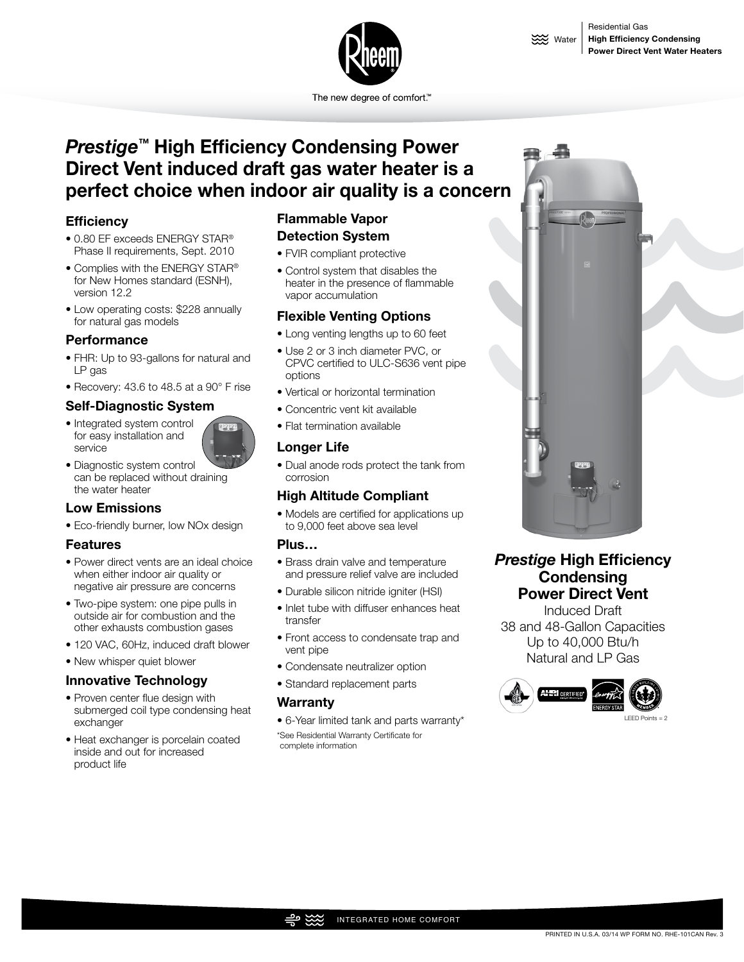

The new degree of comfort.<sup>™</sup>

# *Prestige™* **High Efficiency Condensing Power Direct Vent induced draft gas water heater is a perfect choice when indoor air quality is a concern**

# **Efficiency**

- 0.80 EF exceeds ENERGY STAR® Phase II requirements, Sept. 2010
- Complies with the ENERGY STAR® for New Homes standard (ESNH), version 12.2
- Low operating costs: \$228 annually for natural gas models

#### **Performance**

- FHR: Up to 93-gallons for natural and LP gas
- Recovery: 43.6 to 48.5 at a 90° F rise

## **Self-Diagnostic System**

- Integrated system control for easy installation and service
- 
- Diagnostic system control can be replaced without draining the water heater

# **Low Emissions**

• Eco-friendly burner, low NOx design

#### **Features**

- Power direct vents are an ideal choice when either indoor air quality or negative air pressure are concerns
- Two-pipe system: one pipe pulls in outside air for combustion and the other exhausts combustion gases
- 120 VAC, 60Hz, induced draft blower
- New whisper quiet blower

#### **Innovative Technology**

- Proven center flue design with submerged coil type condensing heat exchanger
- Heat exchanger is porcelain coated inside and out for increased product life

# **Flammable Vapor Detection System**

- FVIR compliant protective
- Control system that disables the heater in the presence of flammable vapor accumulation

## **Flexible Venting Options**

- Long venting lengths up to 60 feet
- Use 2 or 3 inch diameter PVC, or CPVC certified to ULC-S636 vent pipe options
- Vertical or horizontal termination
- Concentric vent kit available
- Flat termination available

# **Longer Life**

• Dual anode rods protect the tank from corrosion

## **High Altitude Compliant**

• Models are certified for applications up to 9,000 feet above sea level

#### **Plus…**

- Brass drain valve and temperature and pressure relief valve are included
- Durable silicon nitride igniter (HSI)
- Inlet tube with diffuser enhances heat transfer
- Front access to condensate trap and vent pipe
- Condensate neutralizer option
- Standard replacement parts

#### **Warranty**

• 6-Year limited tank and parts warranty\* \*See Residential Warranty Certificate for





# *Prestige* **High Efficiency Condensing Power Direct Vent**

Induced Draft 38 and 48-Gallon Capacities Up to 40,000 Btu/h Natural and LP Gas